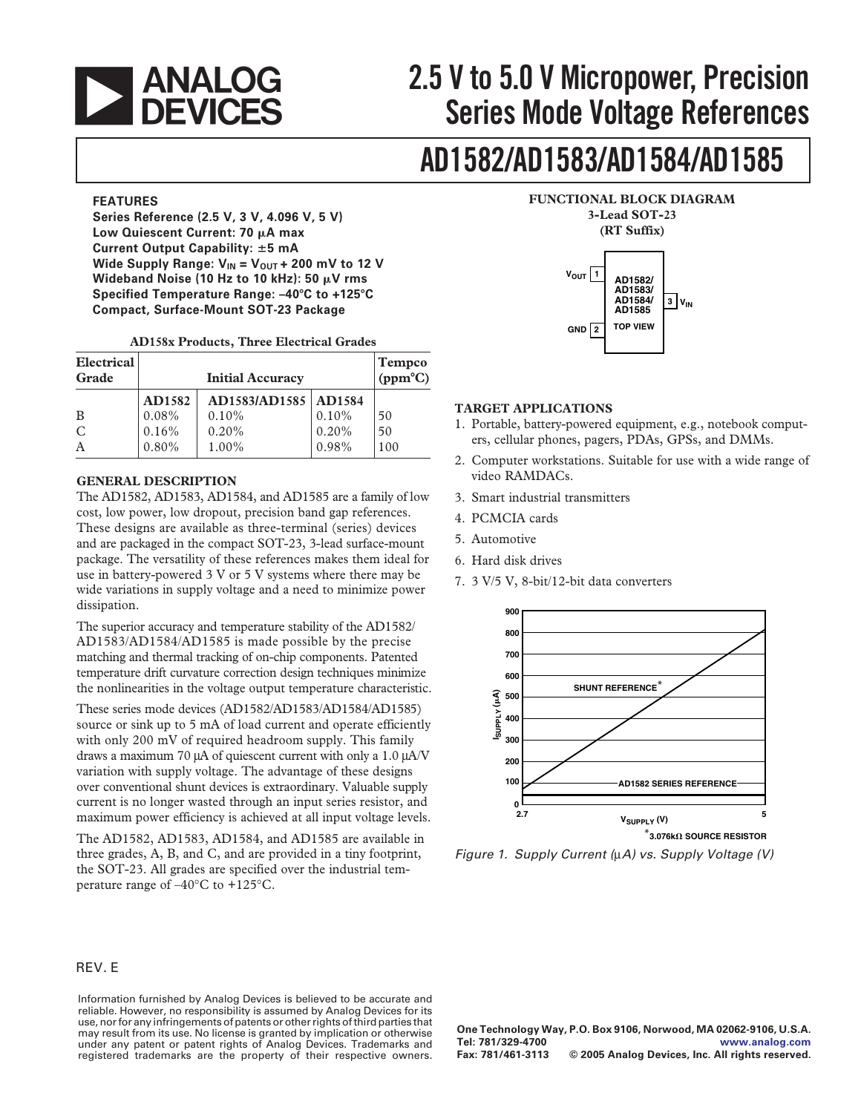

# **2.5 V to 5.0 V Micropower, Precision**<br>**DEVICES** Series Mode Voltage References **Series Mode Voltage References**

# **AD1582/AD1583/AD1584/AD1585**

**Series Reference (2.5 V, 3 V, 4.096 V, 5 V) 3-Lead SOT-23**  Low Quiescent Current: 70  $\mu$ A max **Current Output Capability:** �**5 mA**  Wide Supply Range:  $V_{IN} = V_{OUT} + 200$  mV to 12 V **Wideband Noise (10 Hz to 10 kHz): 50 µV rms Specified Temperature Range: –40**�**C to +125**�**C Compact, Surface-Mount SOT-23 Package** 

| Electrical<br>Grade |          | <b>Initial Accuracy</b> |          | <b>Tempco</b><br>$(ppm^{\circ}C)$ |
|---------------------|----------|-------------------------|----------|-----------------------------------|
|                     | AD1582   | AD1583/AD1585   AD1584  |          |                                   |
| B                   | $0.08\%$ | $0.10\%$                | 0.10%    | 50                                |
| $\mathcal{C}$       | 0.16%    | 0.20%                   | $0.20\%$ | 50                                |
| A                   | $0.80\%$ | 1.00%                   | 0.98%    | 100                               |

#### **AD158x Products, Three Electrical Grades**

#### **GENERAL DESCRIPTION**

The AD1582, AD1583, AD1584, and AD1585 are a family of low cost, low power, low dropout, precision band gap references. These designs are available as three-terminal (series) devices and are packaged in the compact SOT-23, 3-lead surface-mount package. The versatility of these references makes them ideal for use in battery-powered 3 V or 5 V systems where there may be wide variations in supply voltage and a need to minimize power dissipation.

The superior accuracy and temperature stability of the AD1582/ AD1583/AD1584/AD1585 is made possible by the precise matching and thermal tracking of on-chip components. Patented temperature drift curvature correction design techniques minimize the nonlinearities in the voltage output temperature characteristic.

These series mode devices (AD1582/AD1583/AD1584/AD1585) source or sink up to 5 mA of load current and operate efficiently with only 200 mV of required headroom supply. This family draws a maximum 70  $\mu$ A of quiescent current with only a 1.0  $\mu$ A/V **200** variation with supply voltage. The advantage of these designs over conventional shunt devices is extraordinary. Valuable supply **<sup>100</sup>** current is no longer wasted through an input series resistor, and  $\overline{0}$ maximum power efficiency is achieved at all input voltage levels.

The AD1582, AD1583, AD1584, and AD1585 are available in three grades, A, B, and C, and are provided in a tiny footprint, the SOT-23. All grades are specified over the industrial temperature range of  $-40^{\circ}$ C to +125 $^{\circ}$ C.

#### REV. E

Information furnished by Analog Devices is believed to be accurate and reliable. However, no responsibility is assumed by Analog Devices for its use, nor for any infringements of patents or other rights of third parties that may result from its use. No license is granted by implication or otherwise under any patent or patent rights of Analog Devices. Trademarks and registered trademarks are the property of their respective owners.



#### **TARGET APPLICATIONS**

- 1. Portable, battery-powered equipment, e.g., notebook computers, cellular phones, pagers, PDAs, GPSs, and DMMs.
- 2. Computer workstations. Suitable for use with a wide range of video RAMDACs.
- 3. Smart industrial transmitters
- 4. PCMCIA cards
- 5. Automotive
- 6. Hard disk drives
- 7. 3 V/5 V, 8-bit/12-bit data converters



Figure 1. Supply Current (µA) vs. Supply Voltage (V)

 $^*$ 3.076k $\Omega$  SOURCE RESISTOR

**One Technology Way, P.O. Box 9106, Norwood, MA 02062-9106, U.S.A. Tel: 781/329-4700 www.analog.com**   $©$  2005 Analog Devices, Inc. All rights reserved.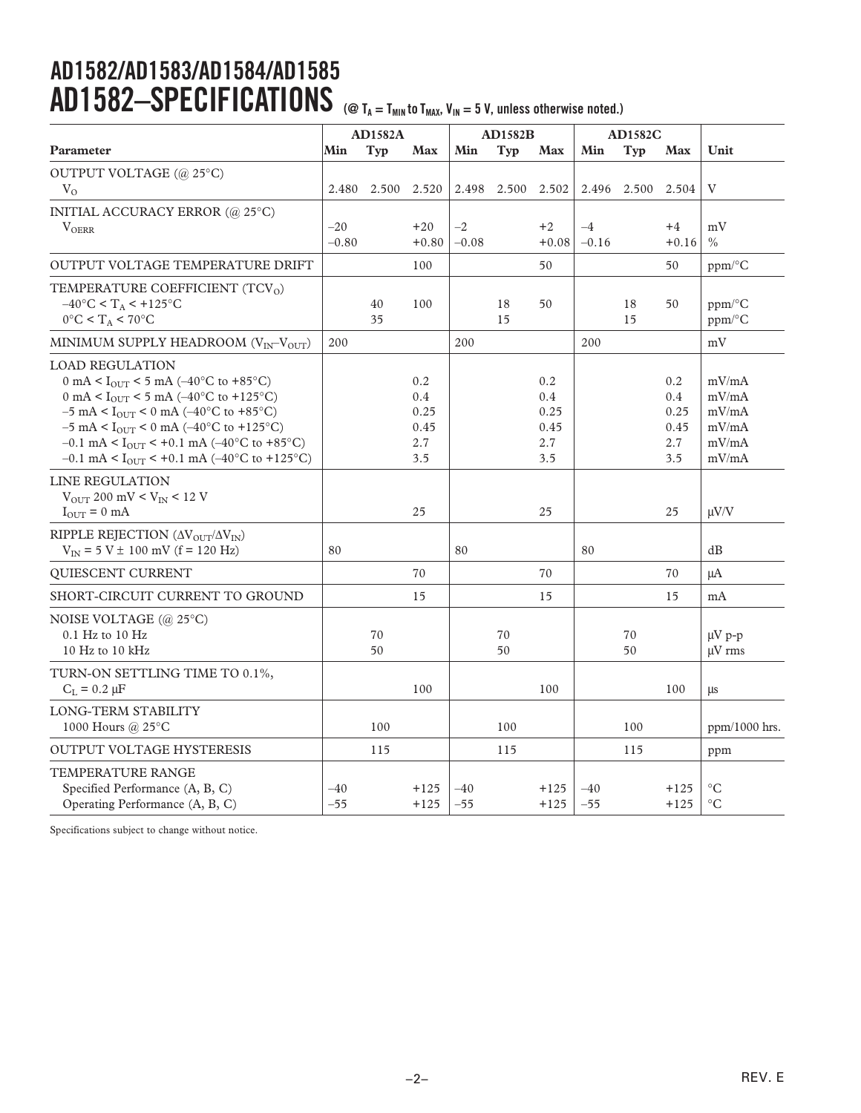# **AD1582/AD1583/AD1584/AD1585**  AD1582-SPECIFICATIONS (@ T<sub>A = TMIN</sub> to T<sub>MAX</sub>, V<sub>IN</sub> = 5 V, unless otherwise noted.)

|                                                                                                                                                                                                                                                                                                                                                                                                                            |                  | <b>AD1582A</b> |                                          |                 | <b>AD1582B</b> |                                          |                 | <b>AD1582C</b> |                                          |                                                    |
|----------------------------------------------------------------------------------------------------------------------------------------------------------------------------------------------------------------------------------------------------------------------------------------------------------------------------------------------------------------------------------------------------------------------------|------------------|----------------|------------------------------------------|-----------------|----------------|------------------------------------------|-----------------|----------------|------------------------------------------|----------------------------------------------------|
| Parameter                                                                                                                                                                                                                                                                                                                                                                                                                  | Min              | <b>Typ</b>     | <b>Max</b>                               | Min             | <b>Typ</b>     | Max                                      | Min             | <b>Typ</b>     | Max                                      | Unit                                               |
| OUTPUT VOLTAGE (@ 25°C)                                                                                                                                                                                                                                                                                                                                                                                                    |                  |                |                                          |                 |                |                                          |                 |                |                                          |                                                    |
| $V_{O}$                                                                                                                                                                                                                                                                                                                                                                                                                    | 2.480            | 2.500          | 2.520                                    | 2.498           |                | 2.500 2.502                              |                 | 2.496 2.500    | 2.504                                    | V                                                  |
| INITIAL ACCURACY ERROR (@ 25°C)<br><b>VOERR</b>                                                                                                                                                                                                                                                                                                                                                                            | $-20$<br>$-0.80$ |                | $+20$<br>$+0.80$                         | $-2$<br>$-0.08$ |                | $+2$<br>$+0.08$                          | $-4$<br>$-0.16$ |                | $+4$<br>$+0.16$                          | mV<br>$\frac{0}{0}$                                |
| OUTPUT VOLTAGE TEMPERATURE DRIFT                                                                                                                                                                                                                                                                                                                                                                                           |                  |                | 100                                      |                 |                | 50                                       |                 |                | 50                                       | $ppm$ <sup>o</sup> C                               |
| TEMPERATURE COEFFICIENT (TCV <sub>O</sub> )<br>$-40^{\circ}$ C < T <sub>A</sub> < +125°C<br>$0^{\circ}$ C < T <sub>A</sub> < 70°C                                                                                                                                                                                                                                                                                          |                  | 40<br>35       | 100                                      |                 | 18<br>15       | 50                                       |                 | 18<br>15       | 50                                       | $ppm$ <sup>o</sup> C<br>ppm/°C                     |
| MINIMUM SUPPLY HEADROOM $(V_{IN}-V_{OUT})$                                                                                                                                                                                                                                                                                                                                                                                 | 200              |                |                                          | 200             |                |                                          | 200             |                |                                          | mV                                                 |
| <b>LOAD REGULATION</b><br>0 mA < $I_{\text{OUT}}$ < 5 mA (-40°C to +85°C)<br>0 mA < $I_{\text{OUT}}$ < 5 mA (-40°C to +125°C)<br>$-5$ mA < I <sub>OUT</sub> < 0 mA ( $-40^{\circ}$ C to +85 <sup>o</sup> C)<br>$-5$ mA < I <sub>OUT</sub> < 0 mA ( $-40^{\circ}$ C to +125°C)<br>$-0.1$ mA < I <sub>OUT</sub> < +0.1 mA ( $-40^{\circ}$ C to +85°C)<br>$-0.1$ mA < I <sub>OUT</sub> < +0.1 mA ( $-40^{\circ}$ C to +125°C) |                  |                | 0.2<br>0.4<br>0.25<br>0.45<br>2.7<br>3.5 |                 |                | 0.2<br>0.4<br>0.25<br>0.45<br>2.7<br>3.5 |                 |                | 0.2<br>0.4<br>0.25<br>0.45<br>2.7<br>3.5 | mV/mA<br>mV/mA<br>mV/mA<br>mV/mA<br>mV/mA<br>mV/mA |
| LINE REGULATION<br>$V_{\text{OUT}}$ 200 mV < $V_{\text{IN}}$ < 12 V<br>$I_{\text{OUT}} = 0$ mA                                                                                                                                                                                                                                                                                                                             |                  |                | 25                                       |                 |                | 25                                       |                 |                | 25                                       | $\mu$ V/V                                          |
| RIPPLE REJECTION ( $\Delta V_{OUT}/\Delta V_{IN}$ )<br>$V_{IN}$ = 5 V $\pm$ 100 mV (f = 120 Hz)                                                                                                                                                                                                                                                                                                                            | 80               |                |                                          | 80              |                |                                          | 80              |                |                                          | dB                                                 |
| QUIESCENT CURRENT                                                                                                                                                                                                                                                                                                                                                                                                          |                  |                | 70                                       |                 |                | 70                                       |                 |                | 70                                       | μA                                                 |
| SHORT-CIRCUIT CURRENT TO GROUND                                                                                                                                                                                                                                                                                                                                                                                            |                  |                | 15                                       |                 |                | 15                                       |                 |                | 15                                       | mA                                                 |
| NOISE VOLTAGE (@ 25°C)<br>$0.1$ Hz to $10$ Hz<br>10 Hz to 10 kHz                                                                                                                                                                                                                                                                                                                                                           |                  | 70<br>50       |                                          |                 | 70<br>50       |                                          |                 | 70<br>50       |                                          | $\mu V$ p-p<br>$\mu$ V rms                         |
| TURN-ON SETTLING TIME TO 0.1%,<br>$C_L = 0.2 \mu F$                                                                                                                                                                                                                                                                                                                                                                        |                  |                | 100                                      |                 |                | 100                                      |                 |                | 100                                      | μs                                                 |
| LONG-TERM STABILITY<br>1000 Hours @ 25°C                                                                                                                                                                                                                                                                                                                                                                                   |                  | 100            |                                          |                 | 100            |                                          |                 | 100            |                                          | ppm/1000 hrs.                                      |
| <b>OUTPUT VOLTAGE HYSTERESIS</b>                                                                                                                                                                                                                                                                                                                                                                                           |                  | 115            |                                          |                 | 115            |                                          |                 | 115            |                                          | ppm                                                |
| TEMPERATURE RANGE<br>Specified Performance (A, B, C)<br>Operating Performance (A, B, C)                                                                                                                                                                                                                                                                                                                                    | $-40$<br>$-55$   |                | $+125$<br>$+125$                         | $-40$<br>$-55$  |                | $+125$<br>$+125$                         | $-40$<br>$-55$  |                | $+125$<br>$+125$                         | $\rm ^{\circ}C$<br>$\rm ^{\circ}C$                 |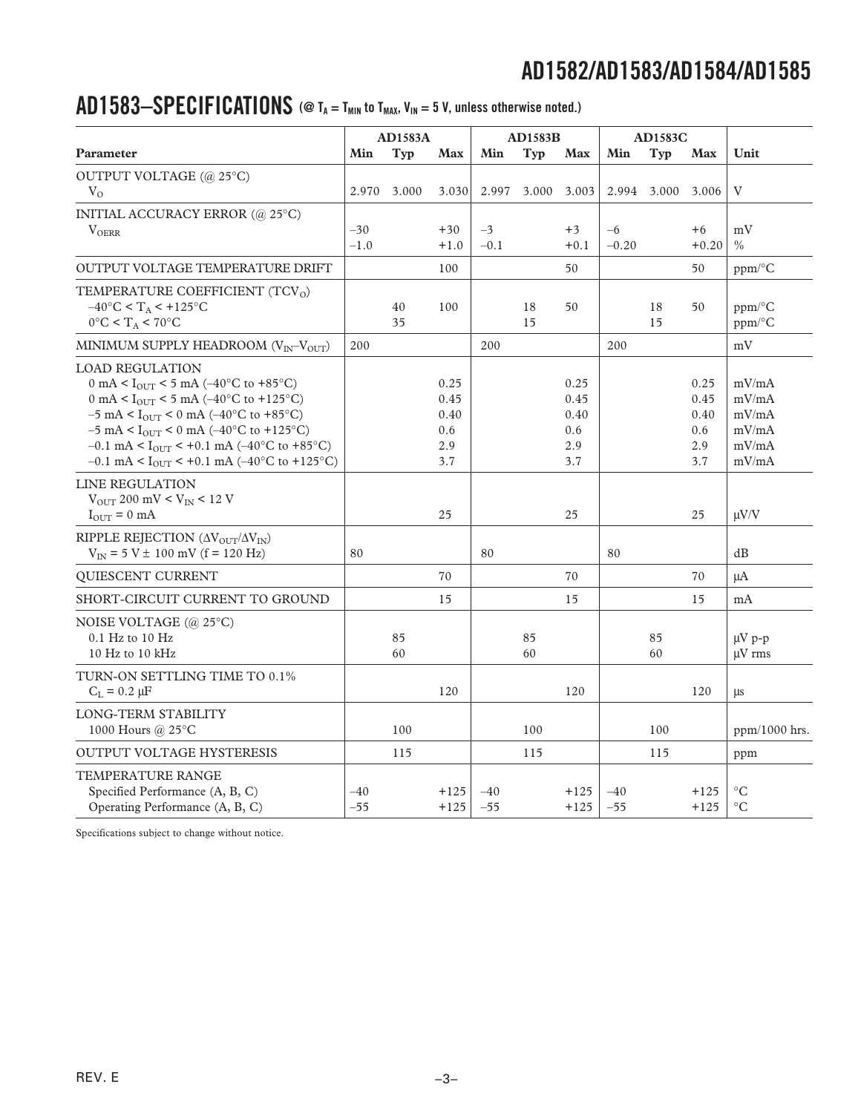### AD1583-SPECIFICATIONS  $\circledast$  T<sub>A</sub> = T<sub>MIN</sub> to T<sub>MAX</sub>, V<sub>IN</sub> = 5 V, unless otherwise noted.)

|                                                                                                                                                                                                                                                                                                                                                                                                               |                 | <b>AD1583A</b> |                                           |                | <b>AD1583B</b> |                                           |                 | <b>AD1583C</b> |                                           |                                                    |
|---------------------------------------------------------------------------------------------------------------------------------------------------------------------------------------------------------------------------------------------------------------------------------------------------------------------------------------------------------------------------------------------------------------|-----------------|----------------|-------------------------------------------|----------------|----------------|-------------------------------------------|-----------------|----------------|-------------------------------------------|----------------------------------------------------|
| Parameter                                                                                                                                                                                                                                                                                                                                                                                                     | Min             | <b>Typ</b>     | <b>Max</b>                                | Min            | Typ            | Max                                       | Min             | <b>Typ</b>     | <b>Max</b>                                | Unit                                               |
| OUTPUT VOLTAGE (@ 25°C)                                                                                                                                                                                                                                                                                                                                                                                       |                 |                |                                           |                |                |                                           |                 |                |                                           |                                                    |
| $V_{\Omega}$                                                                                                                                                                                                                                                                                                                                                                                                  | 2.970           | 3.000          | 3.030                                     | 2.997          | 3.000          | 3.003                                     |                 | 2.994 3.000    | 3.006                                     | V                                                  |
| INITIAL ACCURACY ERROR (@ 25°C)<br>$V_{OERR}$                                                                                                                                                                                                                                                                                                                                                                 | $-30$<br>$-1.0$ |                | $+30$<br>$+1.0$                           | $-3$<br>$-0.1$ |                | $+3$<br>$+0.1$                            | $-6$<br>$-0.20$ |                | $+6$<br>$+0.20$                           | mV<br>$\frac{0}{0}$                                |
| <b>OUTPUT VOLTAGE TEMPERATURE DRIFT</b>                                                                                                                                                                                                                                                                                                                                                                       |                 |                | 100                                       |                |                | 50                                        |                 |                | 50                                        | ppm/°C                                             |
| TEMPERATURE COEFFICIENT (TCV <sub>O</sub> )<br>$-40^{\circ}$ C < T <sub>A</sub> < +125°C<br>$0^{\circ}$ C < T <sub>A</sub> < 70°C                                                                                                                                                                                                                                                                             |                 | 40<br>35       | 100                                       |                | 18<br>15       | 50                                        |                 | 18<br>15       | 50                                        | $ppm$ <sup>o</sup> C<br>ppm/°C                     |
| MINIMUM SUPPLY HEADROOM $(V_{IN}-V_{OUT})$                                                                                                                                                                                                                                                                                                                                                                    | 200             |                |                                           | 200            |                |                                           | 200             |                |                                           | mV                                                 |
| <b>LOAD REGULATION</b><br>0 mA < $I_{\text{OUT}}$ < 5 mA (-40°C to +85°C)<br>0 mA < $I_{\text{OUT}}$ < 5 mA (-40°C to +125°C)<br>$-5$ mA < I <sub>OUT</sub> < 0 mA ( $-40^{\circ}$ C to +85°C)<br>$-5$ mA < I <sub>OUT</sub> < 0 mA ( $-40^{\circ}$ C to +125°C)<br>$-0.1$ mA < I <sub>OUT</sub> < +0.1 mA ( $-40^{\circ}$ C to +85°C)<br>$-0.1$ mA < I <sub>OUT</sub> < +0.1 mA ( $-40^{\circ}$ C to +125°C) |                 |                | 0.25<br>0.45<br>0.40<br>0.6<br>2.9<br>3.7 |                |                | 0.25<br>0.45<br>0.40<br>0.6<br>2.9<br>3.7 |                 |                | 0.25<br>0.45<br>0.40<br>0.6<br>2.9<br>3.7 | mV/mA<br>mV/mA<br>mV/mA<br>mV/mA<br>mV/mA<br>mV/mA |
| LINE REGULATION<br>$V_{\text{OUT}}$ 200 mV < $V_{\text{IN}}$ < 12 V<br>$I_{\text{OUT}} = 0$ mA                                                                                                                                                                                                                                                                                                                |                 |                | 25                                        |                |                | 25                                        |                 |                | 25                                        | $\mu V/V$                                          |
| RIPPLE REJECTION ( $\Delta V_{OUT}/\Delta V_{IN}$ )<br>$V_{IN}$ = 5 V $\pm$ 100 mV (f = 120 Hz)                                                                                                                                                                                                                                                                                                               | 80              |                |                                           | 80             |                |                                           | 80              |                |                                           | dB                                                 |
| QUIESCENT CURRENT                                                                                                                                                                                                                                                                                                                                                                                             |                 |                | 70                                        |                |                | 70                                        |                 |                | 70                                        | $\mu A$                                            |
| SHORT-CIRCUIT CURRENT TO GROUND                                                                                                                                                                                                                                                                                                                                                                               |                 |                | 15                                        |                |                | 15                                        |                 |                | 15                                        | mA                                                 |
| NOISE VOLTAGE (@ 25°C)<br>$0.1$ Hz to $10$ Hz<br>10 Hz to 10 kHz                                                                                                                                                                                                                                                                                                                                              |                 | 85<br>60       |                                           |                | 85<br>60       |                                           |                 | 85<br>60       |                                           | $\mu V$ p-p<br>$\mu$ V rms                         |
| TURN-ON SETTLING TIME TO 0.1%<br>$C_L = 0.2 \mu F$                                                                                                                                                                                                                                                                                                                                                            |                 |                | 120                                       |                |                | 120                                       |                 |                | 120                                       | μs                                                 |
| LONG-TERM STABILITY<br>1000 Hours @ 25°C                                                                                                                                                                                                                                                                                                                                                                      |                 | 100            |                                           |                | 100            |                                           |                 | 100            |                                           | $ppm/1000$ hrs.                                    |
| <b>OUTPUT VOLTAGE HYSTERESIS</b>                                                                                                                                                                                                                                                                                                                                                                              |                 | 115            |                                           |                | 115            |                                           |                 | 115            |                                           | ppm                                                |
| TEMPERATURE RANGE<br>Specified Performance (A, B, C)<br>Operating Performance (A, B, C)                                                                                                                                                                                                                                                                                                                       | $-40$<br>-55    |                | $+125$<br>$+125$                          | $-40$<br>$-55$ |                | $+125$<br>$+125$                          | $-40$<br>$-55$  |                | $+125$<br>$+125$                          | $^{\circ}C$<br>$^{\circ}C$                         |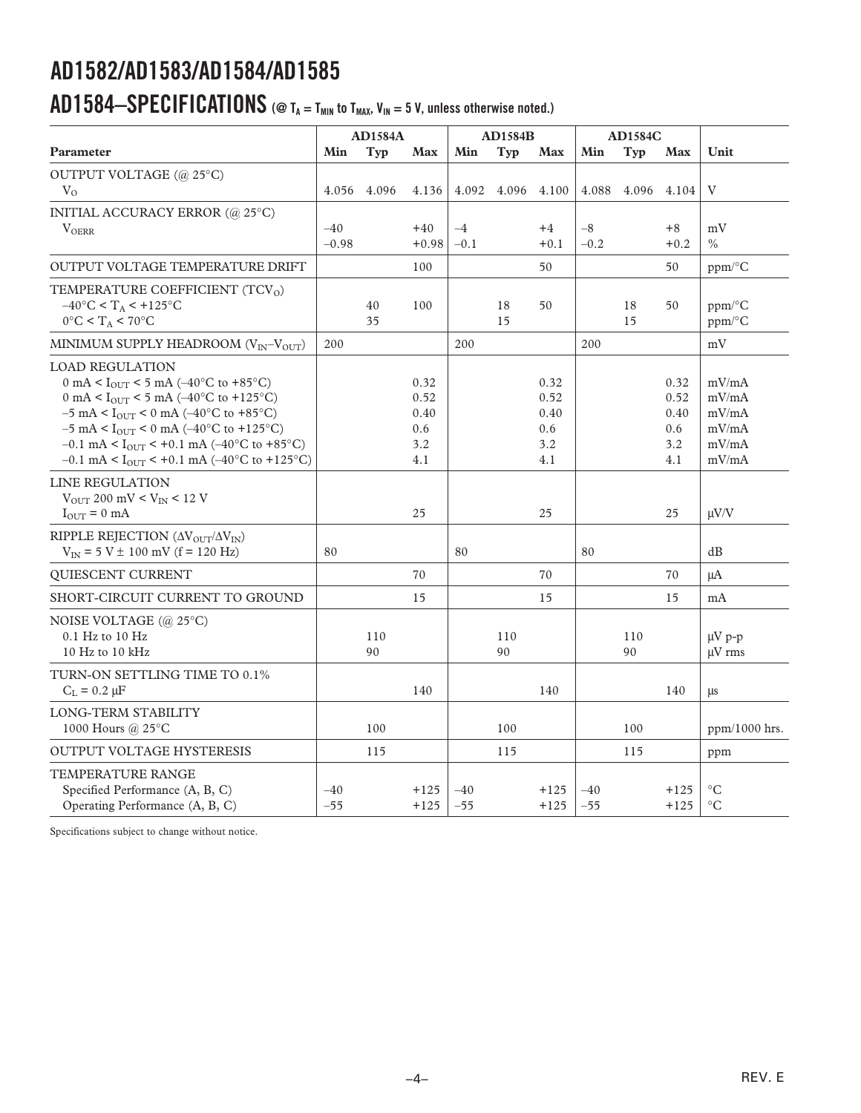### AD1584–SPECIFICATIONS ( $@$  T<sub>A</sub> = T<sub>MIN</sub> to T<sub>MAX</sub>, V<sub>IN</sub> = 5 V, unless otherwise noted.)

|                                                                                                                                                                                                                                                                                                                                                                                                                                                      |                  | <b>AD1584A</b> |                                           |                | <b>AD1584B</b> |                                           |                | <b>AD1584C</b> |                                           |                                                    |
|------------------------------------------------------------------------------------------------------------------------------------------------------------------------------------------------------------------------------------------------------------------------------------------------------------------------------------------------------------------------------------------------------------------------------------------------------|------------------|----------------|-------------------------------------------|----------------|----------------|-------------------------------------------|----------------|----------------|-------------------------------------------|----------------------------------------------------|
| Parameter                                                                                                                                                                                                                                                                                                                                                                                                                                            | Min              | Typ            | Max                                       | Min            | <b>Typ</b>     | Max                                       | Min            | Typ            | Max                                       | Unit                                               |
| OUTPUT VOLTAGE (@ 25°C)                                                                                                                                                                                                                                                                                                                                                                                                                              |                  |                |                                           |                |                |                                           |                |                |                                           |                                                    |
| $V_{O}$                                                                                                                                                                                                                                                                                                                                                                                                                                              | 4.056            | 4.096          | 4.136                                     | 4.092          |                | 4.096 4.100                               | 4.088          | 4.096          | 4.104                                     | V                                                  |
| INITIAL ACCURACY ERROR (@ 25°C)<br><b>VOERR</b>                                                                                                                                                                                                                                                                                                                                                                                                      | $-40$<br>$-0.98$ |                | $+40$<br>$+0.98$                          | $-4$<br>$-0.1$ |                | $+4$<br>$+0.1$                            | $-8$<br>$-0.2$ |                | $+8$<br>$+0.2$                            | mV<br>$\frac{0}{0}$                                |
| <b>OUTPUT VOLTAGE TEMPERATURE DRIFT</b>                                                                                                                                                                                                                                                                                                                                                                                                              |                  |                | 100                                       |                |                | 50                                        |                |                | 50                                        | ppm/°C                                             |
| TEMPERATURE COEFFICIENT (TCV <sub>0</sub> )<br>$-40^{\circ}$ C < T <sub>A</sub> < $+125^{\circ}$ C<br>$0^{\circ}$ C < T <sub>A</sub> < 70°C                                                                                                                                                                                                                                                                                                          |                  | 40<br>35       | 100                                       |                | 18<br>15       | 50                                        |                | 18<br>15       | 50                                        | $ppm$ <sup>o</sup> C<br>$ppm$ <sup>o</sup> $C$     |
| MINIMUM SUPPLY HEADROOM $(V_{IN}-V_{OUT})$                                                                                                                                                                                                                                                                                                                                                                                                           | 200              |                |                                           | 200            |                |                                           | 200            |                |                                           | mV                                                 |
| <b>LOAD REGULATION</b><br>0 mA < $I_{\text{OUT}}$ < 5 mA (-40°C to +85°C)<br>0 mA < $I_{\text{OUT}}$ < 5 mA (-40°C to +125°C)<br>$-5$ mA $<$ $\rm I_{\rm OUT}$ $<$ $0$ mA $(-40^{\circ}{\rm C}$ to $+85^{\circ}{\rm C})$<br>$-5$ mA < I <sub>OUT</sub> < 0 mA ( $-40^{\circ}$ C to +125 <sup>°</sup> C)<br>$-0.1$ mA < I <sub>OUT</sub> < +0.1 mA ( $-40^{\circ}$ C to +85°C)<br>$-0.1$ mA < I <sub>OUT</sub> < +0.1 mA ( $-40^{\circ}$ C to +125°C) |                  |                | 0.32<br>0.52<br>0.40<br>0.6<br>3.2<br>4.1 |                |                | 0.32<br>0.52<br>0.40<br>0.6<br>3.2<br>4.1 |                |                | 0.32<br>0.52<br>0.40<br>0.6<br>3.2<br>4.1 | mV/mA<br>mV/mA<br>mV/mA<br>mV/mA<br>mV/mA<br>mV/mA |
| LINE REGULATION<br>$V_{\text{OUT}}$ 200 mV < $V_{\text{IN}}$ < 12 V<br>$I_{\text{OUT}} = 0$ mA                                                                                                                                                                                                                                                                                                                                                       |                  |                | 25                                        |                |                | 25                                        |                |                | 25                                        | $\mu V/V$                                          |
| RIPPLE REJECTION ( $\Delta V_{\text{OUT}}/\Delta V_{\text{IN}}$ )<br>$V_{IN}$ = 5 V $\pm$ 100 mV (f = 120 Hz)                                                                                                                                                                                                                                                                                                                                        | 80               |                |                                           | 80             |                |                                           | 80             |                |                                           | dB                                                 |
| <b>OUIESCENT CURRENT</b>                                                                                                                                                                                                                                                                                                                                                                                                                             |                  |                | 70                                        |                |                | 70                                        |                |                | 70                                        | $\mu A$                                            |
| SHORT-CIRCUIT CURRENT TO GROUND                                                                                                                                                                                                                                                                                                                                                                                                                      |                  |                | 15                                        |                |                | 15                                        |                |                | 15                                        | mA                                                 |
| NOISE VOLTAGE (@ 25°C)<br>$0.1$ Hz to $10$ Hz<br>10 $Hz$ to 10 $kHz$                                                                                                                                                                                                                                                                                                                                                                                 |                  | 110<br>90      |                                           |                | 110<br>90      |                                           |                | 110<br>90      |                                           | $\mu V$ p-p<br>uV rms                              |
| TURN-ON SETTLING TIME TO 0.1%<br>$C_L = 0.2 \mu F$                                                                                                                                                                                                                                                                                                                                                                                                   |                  |                | 140                                       |                |                | 140                                       |                |                | 140                                       | μs                                                 |
| <b>LONG-TERM STABILITY</b><br>1000 Hours @ 25°C                                                                                                                                                                                                                                                                                                                                                                                                      |                  | 100            |                                           |                | 100            |                                           |                | 100            |                                           | $ppm/1000$ hrs.                                    |
| <b>OUTPUT VOLTAGE HYSTERESIS</b>                                                                                                                                                                                                                                                                                                                                                                                                                     |                  | 115            |                                           |                | 115            |                                           |                | 115            |                                           | ppm                                                |
| TEMPERATURE RANGE<br>Specified Performance (A, B, C)<br>Operating Performance (A, B, C)                                                                                                                                                                                                                                                                                                                                                              | $-40$<br>$-55$   |                | $+125$<br>$+125$                          | $-40$<br>$-55$ |                | $+125$<br>$+125$                          | $-40$<br>$-55$ |                | $+125$<br>$+125$                          | $\rm ^{\circ}C$<br>$\rm ^{\circ}C$                 |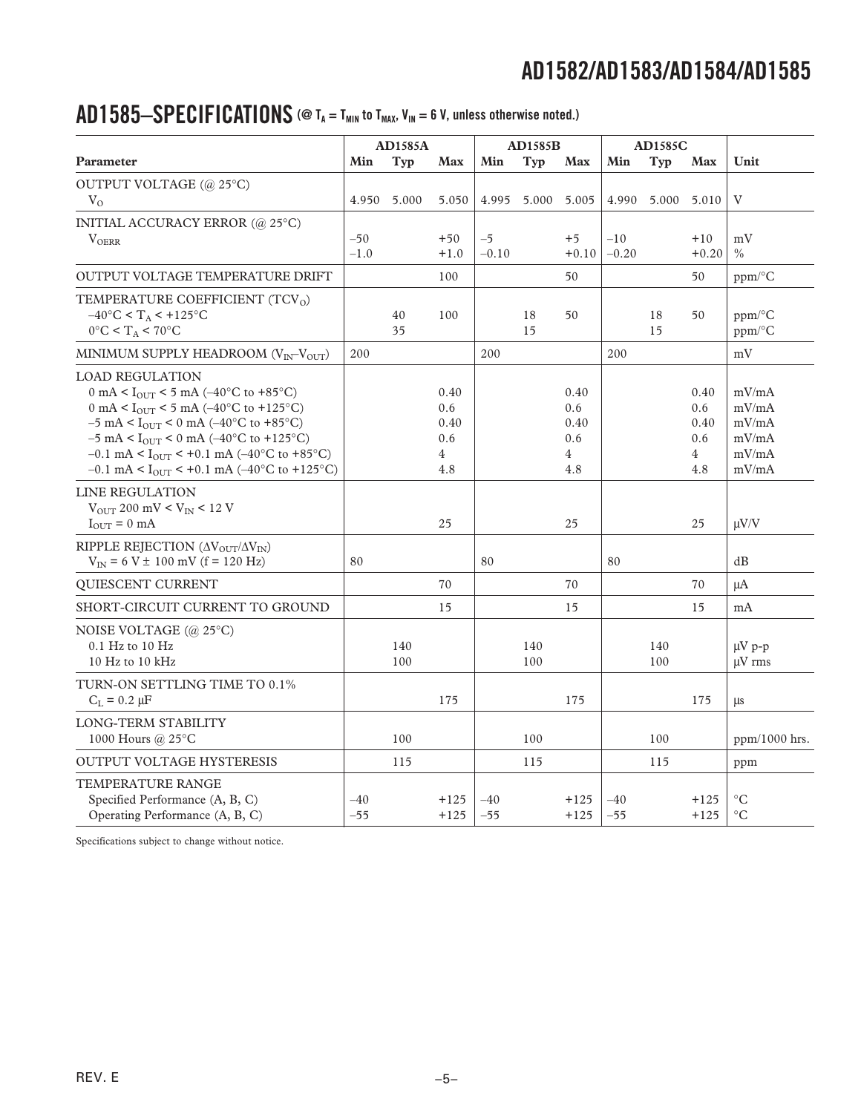### AD1585-SPECIFICATIONS (@ T<sub>A</sub> = T<sub>MIN</sub> to T<sub>MAX</sub>, V<sub>IN</sub> = 6 V, unless otherwise noted.)

|                                                                                                                                      |        | <b>AD1585A</b> |                       |         | <b>AD1585B</b> |                       |         | <b>AD1585C</b>    |                       |                 |
|--------------------------------------------------------------------------------------------------------------------------------------|--------|----------------|-----------------------|---------|----------------|-----------------------|---------|-------------------|-----------------------|-----------------|
| Parameter                                                                                                                            | Min    | Typ            | <b>Max</b>            | Min     | <b>Typ</b>     | <b>Max</b>            | Min     | Typ               | <b>Max</b>            | Unit            |
| OUTPUT VOLTAGE (@ 25°C)                                                                                                              |        |                |                       |         |                |                       |         |                   |                       |                 |
| $V_{\Omega}$                                                                                                                         |        | 4.950 5.000    | 5.050                 |         | 4.995 5.000    | 5.005                 |         | 4.990 5.000 5.010 |                       | V               |
| INITIAL ACCURACY ERROR (@ 25°C)                                                                                                      |        |                |                       |         |                |                       |         |                   |                       |                 |
| $V_{OERR}$                                                                                                                           | $-50$  |                | $+50$                 | $-5$    |                | $+5$                  | $-10$   |                   | $+10$                 | mV              |
|                                                                                                                                      | $-1.0$ |                | $+1.0$                | $-0.10$ |                | $+0.10$               | $-0.20$ |                   | $+0.20$               | $\frac{0}{0}$   |
| <b>OUTPUT VOLTAGE TEMPERATURE DRIFT</b>                                                                                              |        |                | 100                   |         |                | 50                    |         |                   | 50                    | ppm/°C          |
| TEMPERATURE COEFFICIENT (TCV <sub>0</sub> )                                                                                          |        |                |                       |         |                |                       |         |                   |                       |                 |
| $-40^{\circ}$ C < T <sub>A</sub> < +125°C                                                                                            |        | 40             | 100                   |         | 18             | 50                    |         | 18                | 50                    | ppm/°C          |
| $0^{\circ}$ C < T <sub>A</sub> < 70°C                                                                                                |        | 35             |                       |         | 15             |                       |         | 15                |                       | ppm/°C          |
| MINIMUM SUPPLY HEADROOM $(V_{\text{IN}}-V_{\text{OUT}})$                                                                             | 200    |                |                       | 200     |                |                       | 200     |                   |                       | mV              |
| <b>LOAD REGULATION</b>                                                                                                               |        |                |                       |         |                |                       |         |                   |                       |                 |
| 0 mA < $I_{OUT}$ < 5 mA (-40°C to +85°C)                                                                                             |        |                | 0.40                  |         |                | 0.40                  |         |                   | 0.40                  | mV/mA           |
| 0 mA < $I_{\text{OUT}}$ < 5 mA (-40°C to +125°C)                                                                                     |        |                | 0.6                   |         |                | 0.6                   |         |                   | 0.6                   | mV/mA           |
| $-5$ mA < I <sub>OUT</sub> < 0 mA ( $-40^{\circ}$ C to +85 <sup>o</sup> C)                                                           |        |                | 0.40                  |         |                | 0.40                  |         |                   | 0.40                  | mV/mA           |
| $-5$ mA < I <sub>OUT</sub> < 0 mA ( $-40^{\circ}$ C to +125°C)<br>$-0.1$ mA < I <sub>OUT</sub> < +0.1 mA ( $-40^{\circ}$ C to +85°C) |        |                | 0.6<br>$\overline{4}$ |         |                | 0.6<br>$\overline{4}$ |         |                   | 0.6<br>$\overline{4}$ | mV/mA<br>mV/mA  |
| $-0.1$ mA < I <sub>OUT</sub> < +0.1 mA ( $-40^{\circ}$ C to +125°C)                                                                  |        |                | 4.8                   |         |                | 4.8                   |         |                   | 4.8                   | mV/mA           |
| LINE REGULATION                                                                                                                      |        |                |                       |         |                |                       |         |                   |                       |                 |
| $V_{\text{OUT}}$ 200 mV < $V_{\text{IN}}$ < 12 V                                                                                     |        |                |                       |         |                |                       |         |                   |                       |                 |
| $I_{\text{OUT}} = 0 \text{ mA}$                                                                                                      |        |                | 25                    |         |                | 25                    |         |                   | 25                    | $\mu V/V$       |
| RIPPLE REJECTION ( $\Delta V_{OUT}/\Delta V_{IN}$ )                                                                                  |        |                |                       |         |                |                       |         |                   |                       |                 |
| $V_{IN} = 6 V \pm 100$ mV (f = 120 Hz)                                                                                               | 80     |                |                       | 80      |                |                       | 80      |                   |                       | dB              |
| <b>OUIESCENT CURRENT</b>                                                                                                             |        |                | 70                    |         |                | 70                    |         |                   | 70                    | $\mu A$         |
| SHORT-CIRCUIT CURRENT TO GROUND                                                                                                      |        |                | 15                    |         |                | 15                    |         |                   | 15                    | mA              |
| NOISE VOLTAGE (@ 25°C)                                                                                                               |        |                |                       |         |                |                       |         |                   |                       |                 |
| $0.1$ Hz to $10$ Hz                                                                                                                  |        | 140            |                       |         | 140            |                       |         | 140               |                       | $\mu V$ p-p     |
| 10 Hz to 10 kHz                                                                                                                      |        | 100            |                       |         | 100            |                       |         | 100               |                       | $\mu$ V rms     |
| TURN-ON SETTLING TIME TO 0.1%                                                                                                        |        |                |                       |         |                |                       |         |                   |                       |                 |
| $C_L = 0.2 \mu F$                                                                                                                    |        |                | 175                   |         |                | 175                   |         |                   | 175                   | μs              |
| <b>LONG-TERM STABILITY</b>                                                                                                           |        |                |                       |         |                |                       |         |                   |                       |                 |
| 1000 Hours @ $25^{\circ}$ C                                                                                                          |        | 100            |                       |         | 100            |                       |         | 100               |                       | ppm/1000 hrs.   |
| <b>OUTPUT VOLTAGE HYSTERESIS</b>                                                                                                     |        | 115            |                       |         | 115            |                       |         | 115               |                       | ppm             |
| TEMPERATURE RANGE                                                                                                                    |        |                |                       |         |                |                       |         |                   |                       |                 |
| Specified Performance (A, B, C)                                                                                                      | $-40$  |                | $+125$                | $-40$   |                | $+125$                | $-40$   |                   | $+125$                | $^{\circ}C$     |
| Operating Performance (A, B, C)                                                                                                      | $-55$  |                | $+125$                | $-55$   |                | $+125$                | $-55$   |                   | $+125$                | $\rm ^{\circ}C$ |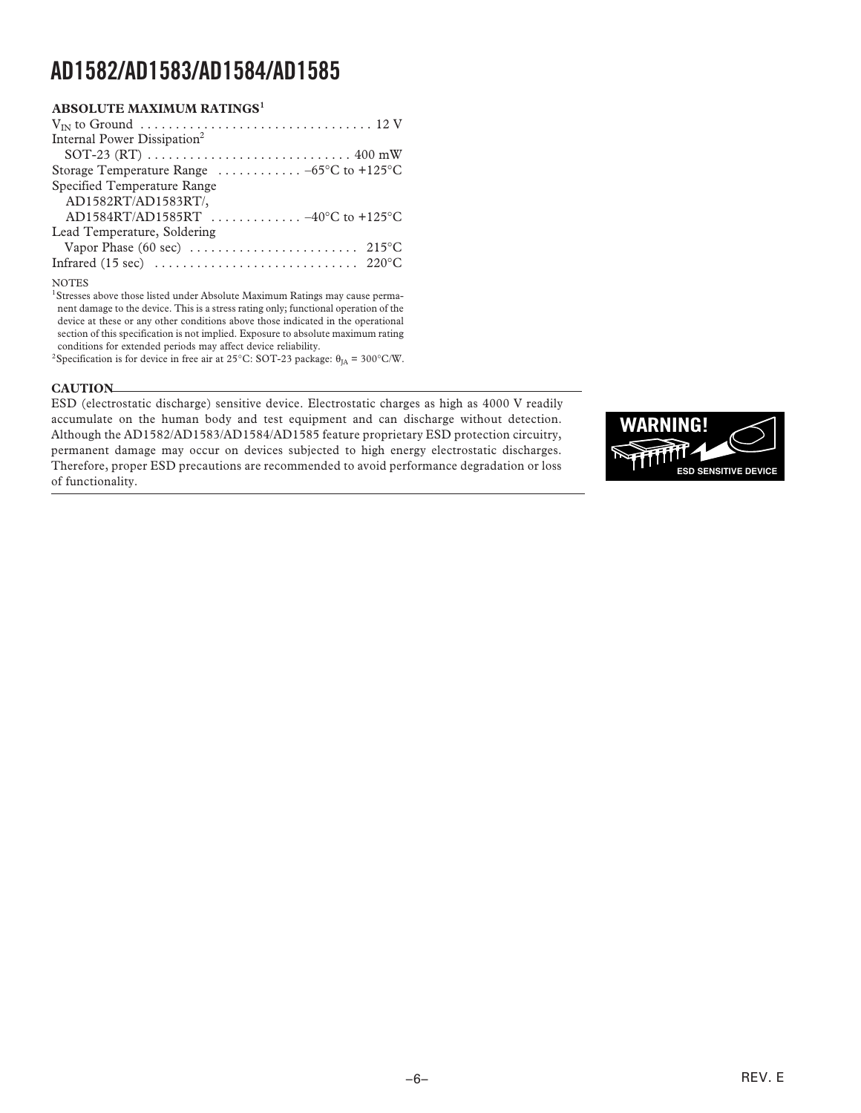| <b>ABSOLUTE MAXIMUM RATINGS1</b>                                                           |
|--------------------------------------------------------------------------------------------|
|                                                                                            |
| Internal Power Dissipation <sup>2</sup>                                                    |
| SOT-23 (RT) $\ldots \ldots \ldots \ldots \ldots \ldots \ldots \ldots \ldots \ldots 400$ mW |
| Storage Temperature Range $\ldots \ldots \ldots -65$ °C to +125°C                          |
| Specified Temperature Range                                                                |
| AD1582RT/AD1583RT/,                                                                        |
| AD1584RT/AD1585RT  -40°C to +125°C                                                         |
| Lead Temperature, Soldering                                                                |
| Vapor Phase (60 sec) $\dots \dots \dots \dots \dots \dots \dots \dots \dots$ 215 °C        |
|                                                                                            |
|                                                                                            |

#### NOTES

<sup>1</sup>Stresses above those listed under Absolute Maximum Ratings may cause permanent damage to the device. This is a stress rating only; functional operation of the device at these or any other conditions above those indicated in the operational section of this specification is not implied. Exposure to absolute maximum rating conditions for extended periods may affect device reliability. <sup>2</sup>Specification is for device in free air at 25°C: SOT-23 package:  $\theta_{JA} = 300$ °C/W.

**CAUTION** 

ESD (electrostatic discharge) sensitive device. Electrostatic charges as high as 4000 V readily accumulate on the human body and test equipment and can discharge without detection. Although the AD1582/AD1583/AD1584/AD1585 feature proprietary ESD protection circuitry, permanent damage may occur on devices subjected to high energy electrostatic discharges. Therefore, proper ESD precautions are recommended to avoid performance degradation or loss of functionality.

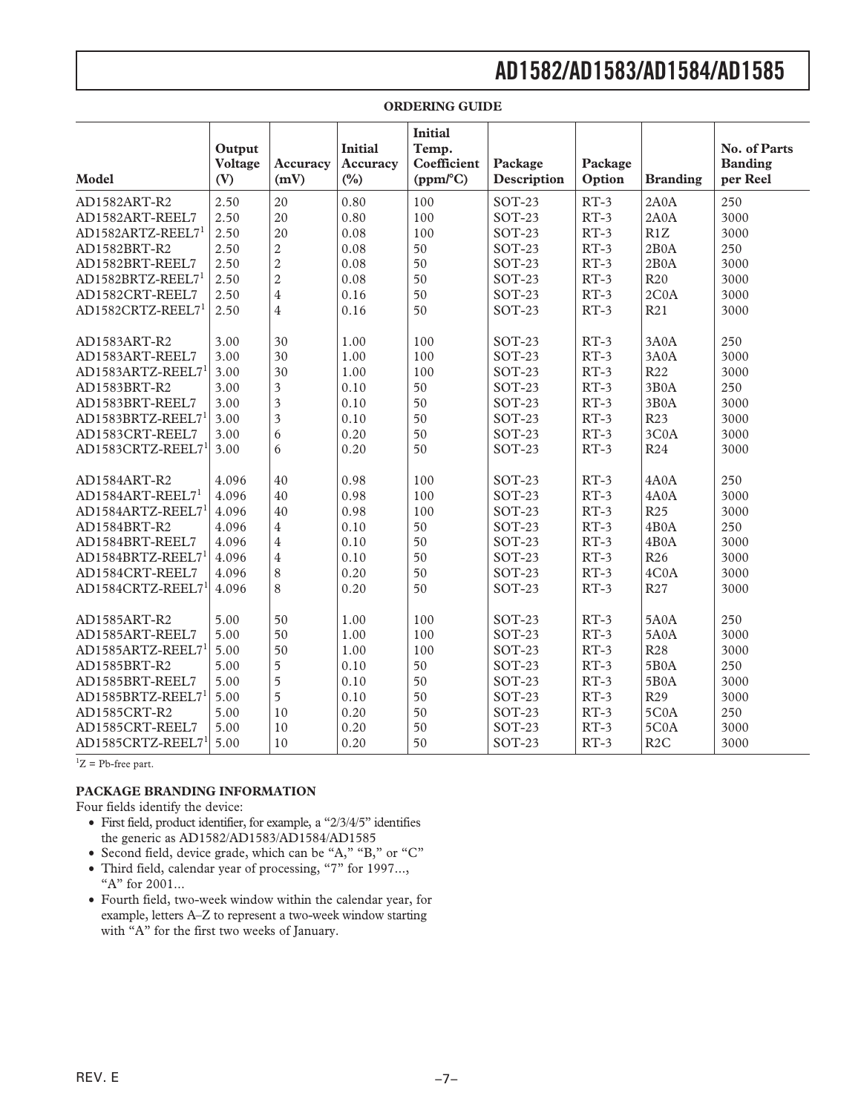| Model                         | Output<br><b>Voltage</b><br>(V) | Accuracy<br>(mV)        | <b>Initial</b><br>Accuracy<br>(%) | <b>Initial</b><br>Temp.<br>Coefficient<br>(ppm/°C) | Package<br>Description | Package<br>Option | <b>Branding</b>   | No. of Parts<br><b>Banding</b><br>per Reel |
|-------------------------------|---------------------------------|-------------------------|-----------------------------------|----------------------------------------------------|------------------------|-------------------|-------------------|--------------------------------------------|
| AD1582ART-R2                  | 2.50                            | 20                      | 0.80                              | 100                                                | $SOT-23$               | $RT-3$            | 2A0A              | 250                                        |
| AD1582ART-REEL7               | 2.50                            | 20                      | 0.80                              | 100                                                | $SOT-23$               | $RT-3$            | 2A0A              | 3000                                       |
| AD1582ARTZ-REEL7 <sup>1</sup> | 2.50                            | 20                      | 0.08                              | 100                                                | $SOT-23$               | $RT-3$            | R1Z               | 3000                                       |
| AD1582BRT-R2                  | 2.50                            | $\sqrt{2}$              | 0.08                              | 50                                                 | $SOT-23$               | $RT-3$            | 2B0A              | 250                                        |
| AD1582BRT-REEL7               | 2.50                            | $\overline{c}$          | 0.08                              | 50                                                 | $SOT-23$               | $RT-3$            | 2B0A              | 3000                                       |
| AD1582BRTZ-REEL7 <sup>1</sup> | 2.50                            | $\overline{2}$          | 0.08                              | 50                                                 | $SOT-23$               | $RT-3$            | R <sub>20</sub>   | 3000                                       |
| AD1582CRT-REEL7               | 2.50                            | $\overline{\mathbf{4}}$ | 0.16                              | 50                                                 | $SOT-23$               | $RT-3$            | 2COA              | 3000                                       |
| AD1582CRTZ-REEL7              | 2.50                            | $\overline{4}$          | 0.16                              | 50                                                 | $SOT-23$               | $RT-3$            | R21               | 3000                                       |
| AD1583ART-R2                  | 3.00                            | 30                      | 1.00                              | 100                                                | SOT-23                 | $RT-3$            | 3A0A              | 250                                        |
| AD1583ART-REEL7               | 3.00                            | 30                      | 1.00                              | 100                                                | $SOT-23$               | $RT-3$            | 3A0A              | 3000                                       |
| AD1583ARTZ-REEL71             | 3.00                            | 30                      | 1.00                              | 100                                                | $SOT-23$               | $RT-3$            | R <sub>22</sub>   | 3000                                       |
| AD1583BRT-R2                  | 3.00                            | $\overline{3}$          | 0.10                              | 50                                                 | $SOT-23$               | $RT-3$            | 3B0A              | 250                                        |
| AD1583BRT-REEL7               | 3.00                            | $\overline{\mathbf{3}}$ | 0.10                              | 50                                                 | $SOT-23$               | $RT-3$            | 3B0A              | 3000                                       |
| AD1583BRTZ-REEL71             | 3.00                            | $\overline{\mathbf{3}}$ | 0.10                              | 50                                                 | $SOT-23$               | $RT-3$            | R <sub>23</sub>   | 3000                                       |
| AD1583CRT-REEL7               | 3.00                            | 6                       | 0.20                              | 50                                                 | $SOT-23$               | $RT-3$            | 3C0A              | 3000                                       |
| AD1583CRTZ-REEL71             | 3.00                            | 6                       | 0.20                              | 50                                                 | $SOT-23$               | $RT-3$            | R <sub>24</sub>   | 3000                                       |
| AD1584ART-R2                  | 4.096                           | 40                      | 0.98                              | 100                                                | $SOT-23$               | $RT-3$            | 4A0A              | 250                                        |
| AD1584ART-REEL7 <sup>1</sup>  | 4.096                           | 40                      | 0.98                              | 100                                                | $SOT-23$               | $RT-3$            | 4A0A              | 3000                                       |
| AD1584ARTZ-REEL7 <sup>1</sup> | 4.096                           | 40                      | 0.98                              | 100                                                | $SOT-23$               | $RT-3$            | R <sub>25</sub>   | 3000                                       |
| AD1584BRT-R2                  | 4.096                           | $\overline{4}$          | 0.10                              | 50                                                 | $SOT-23$               | $RT-3$            | 4B <sub>0</sub> A | 250                                        |
| AD1584BRT-REEL7               | 4.096                           | $\overline{4}$          | 0.10                              | 50                                                 | $SOT-23$               | $RT-3$            | 4B0A              | 3000                                       |
| AD1584BRTZ-REEL7 <sup>1</sup> | 4.096                           | $\bf 4$                 | 0.10                              | 50                                                 | $SOT-23$               | $RT-3$            | R <sub>26</sub>   | 3000                                       |
| AD1584CRT-REEL7               | 4.096                           | $\,$ 8 $\,$             | 0.20                              | 50                                                 | $SOT-23$               | $RT-3$            | 4C0A              | 3000                                       |
| AD1584CRTZ-REEL71             | 4.096                           | 8                       | 0.20                              | 50                                                 | $SOT-23$               | $RT-3$            | R <sub>27</sub>   | 3000                                       |
| AD1585ART-R2                  | 5.00                            | 50                      | 1.00                              | 100                                                | $SOT-23$               | $RT-3$            | <b>5A0A</b>       | 250                                        |
| AD1585ART-REEL7               | 5.00                            | 50                      | 1.00                              | 100                                                | $SOT-23$               | $RT-3$            | 5A0A              | 3000                                       |
| AD1585ARTZ-REEL71             | 5.00                            | 50                      | 1.00                              | 100                                                | $SOT-23$               | $RT-3$            | <b>R28</b>        | 3000                                       |
| AD1585BRT-R2                  | 5.00                            | 5                       | 0.10                              | 50                                                 | $SOT-23$               | $RT-3$            | 5B0A              | 250                                        |
| AD1585BRT-REEL7               | 5.00                            | 5                       | 0.10                              | 50                                                 | $SOT-23$               | $RT-3$            | 5B0A              | 3000                                       |
| AD1585BRTZ-REEL71             | 5.00                            | $\overline{5}$          | 0.10                              | 50                                                 | $SOT-23$               | $RT-3$            | R <sub>29</sub>   | 3000                                       |
| AD1585CRT-R2                  | 5.00                            | 10                      | 0.20                              | 50                                                 | $SOT-23$               | $RT-3$            | 5COA              | 250                                        |
| AD1585CRT-REEL7               | 5.00                            | 10                      | 0.20                              | 50                                                 | $SOT-23$               | $RT-3$            | 5COA              | 3000                                       |
| AD1585CRTZ-REEL71             | 5.00                            | 10                      | 0.20                              | 50                                                 | $SOT-23$               | $RT-3$            | R2C               | 3000                                       |

#### **ORDERING GUIDE**

 ${}^{1}Z$  = Pb-free part.

#### **PACKAGE BRANDING INFORMATION**

Four fields identify the device:

- ∑ First field, product identifier, for example, a "2/3/4/5" identifies the generic as AD1582/AD1583/AD1584/AD1585
- ∑ Second field, device grade, which can be "A," "B," or "C"
- ∑ Third field, calendar year of processing, "7" for 1997..., "A" for 2001...
- ∑ Fourth field, two-week window within the calendar year, for example, letters A–Z to represent a two-week window starting with "A" for the first two weeks of January.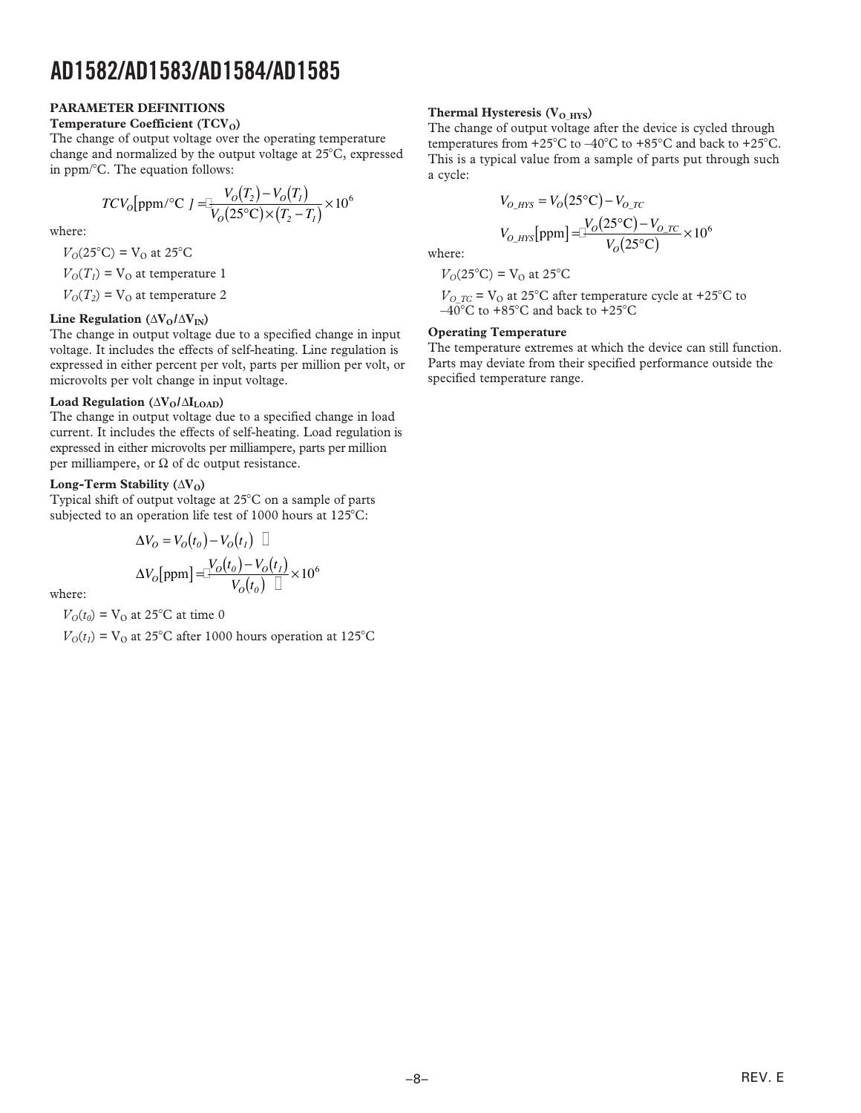#### **PARAMETER DEFINITIONS**

### **Temperature Coefficient (TCV<sub>O</sub>)**

The change of output voltage over the operating temperature change and normalized by the output voltage at 25�C, expressed in ppm/�C. The equation follows:

$$
TCV_0[ppm/°C] = \frac{V_0(T_2) - V_0(T_1)}{V_0(25°C) \times (T_2 - T_1)} \times 10^6
$$

where:

 $V_{O}(25^{\circ}C) = V_{O}$  at 25<sup>°</sup>C

 $V<sub>O</sub>(T<sub>1</sub>)$  = V<sub>O</sub> at temperature 1

 $V<sub>O</sub>(T<sub>2</sub>)$  = V<sub>O</sub> at temperature 2

#### Line Regulation ( $\Delta V_0 / \Delta V_{IN}$ )

The change in output voltage due to a specified change in input voltage. It includes the effects of self-heating. Line regulation is expressed in either percent per volt, parts per million per volt, or microvolts per volt change in input voltage.

#### Load Regulation ( $\Delta V_0/\Delta I_{\rm LOAD}$ )

The change in output voltage due to a specified change in load current. It includes the effects of self-heating. Load regulation is expressed in either microvolts per milliampere, parts per million per milliampere, or  $\Omega$  of dc output resistance.

#### **Long-Term Stability**  $(\Delta V_0)$

Typical shift of output voltage at 25�C on a sample of parts subjected to an operation life test of 1000 hours at 125<sup>°</sup>C:

$$
\Delta V_O = V_O(t_0) - V_O(t_1) \quad \Box
$$

$$
\Delta V_O[ppm] = \frac{V_O(t_0) - V_O(t_1)}{V_O(t_0) \quad \Box} \times 10^6
$$

where:

 $V<sub>O</sub>(t<sub>0</sub>)$  = V<sub>O</sub> at 25<sup>°</sup>C at time 0

 $V<sub>O</sub>(t<sub>1</sub>)$  = V<sub>O</sub> at 25<sup>°</sup>C after 1000 hours operation at 125<sup>°</sup>C

#### **Thermal Hysteresis (V<sub>O HYS</sub>)**

The change of output voltage after the device is cycled through temperatures from +25 $^{\circ}$ C to –40 $^{\circ}$ C to +85 $^{\circ}$ C and back to +25 $^{\circ}$ C. This is a typical value from a sample of parts put through such a cycle:

$$
V_{O_HYS} = V_O(25^{\circ}\text{C}) - V_{O_TC}
$$

$$
V_{O_HYS}[\text{ppm}] = \frac{V_O(25^{\circ}\text{C}) - V_{O_TC}}{V_O(25^{\circ}\text{C})} \times 10^6
$$
where:

$$
V_{\rm O}(25^{\circ}\mathrm{C}) = V_{\rm O} \text{ at } 25^{\circ}\mathrm{C}
$$

 $V_{O,TC}$  = V<sub>O</sub> at 25<sup>o</sup>C after temperature cycle at +25<sup>o</sup>C to  $-40^\circ$ C to +85 $^\circ$ C and back to +25 $^\circ$ C

#### **Operating Temperature**

The temperature extremes at which the device can still function. Parts may deviate from their specified performance outside the specified temperature range.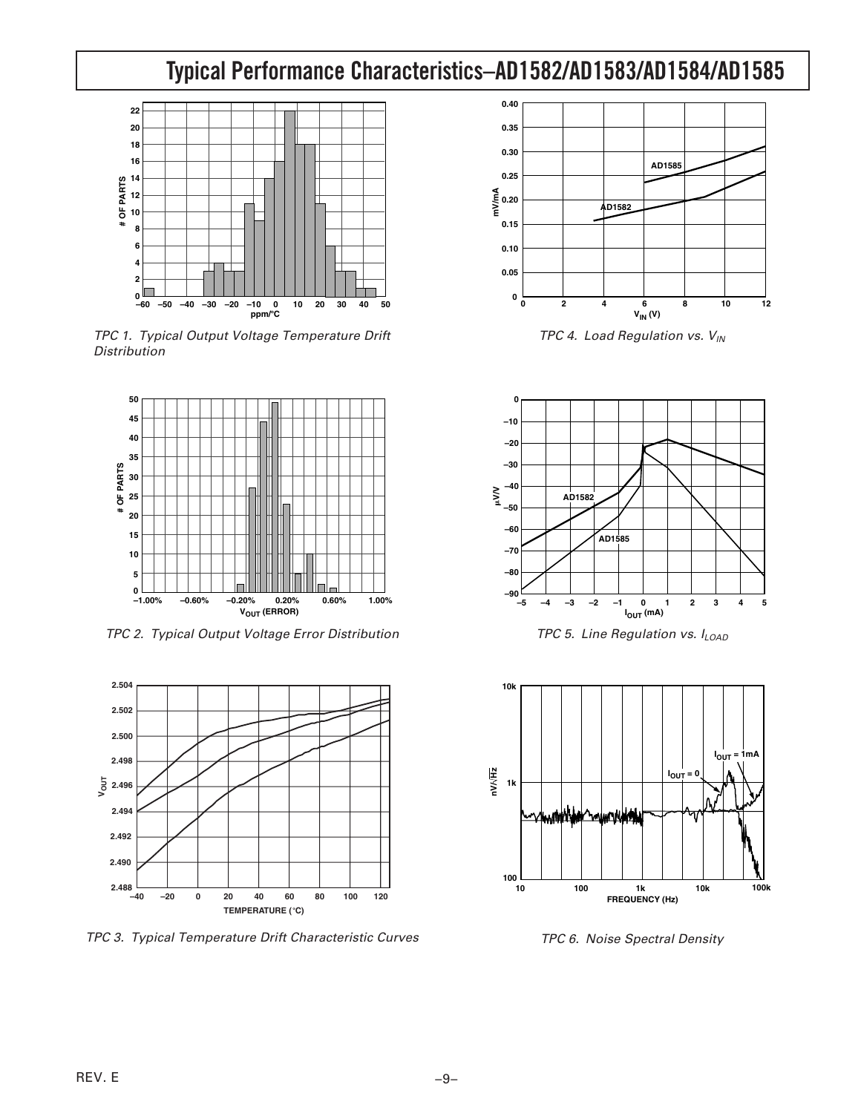### **AD1582/AD1583/AD1584/AD1585 Typical Performance Characteristics–**



TPC 1. Typical Output Voltage Temperature Drift **Distribution** 



TPC 2. Typical Output Voltage Error Distribution



TPC 3. Typical Temperature Drift Characteristic Curves



TPC 4. Load Regulation vs.  $V_{IN}$ 



TPC 5. Line Regulation vs.  $I_{LOAD}$ 



TPC 6. Noise Spectral Density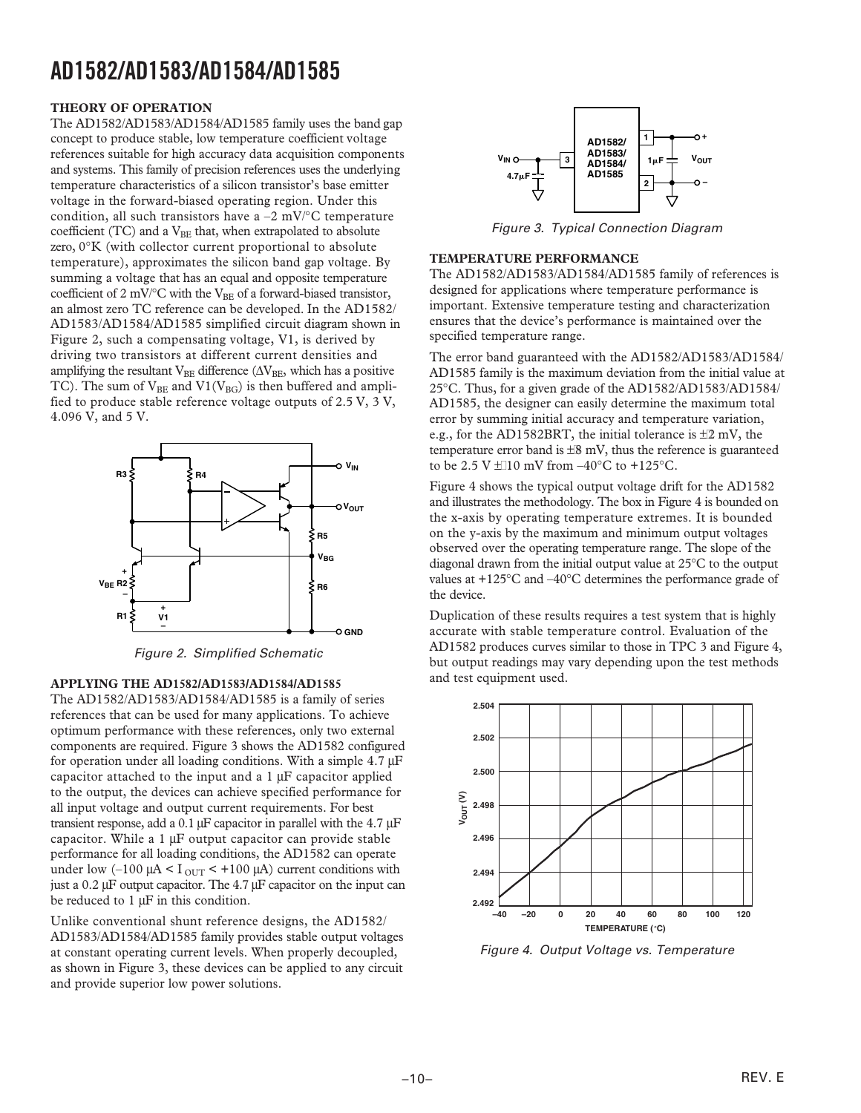#### **THEORY OF OPERATION**

The AD1582/AD1583/AD1584/AD1585 family uses the band gap concept to produce stable, low temperature coefficient voltage references suitable for high accuracy data acquisition components and systems. This family of precision references uses the underlying temperature characteristics of a silicon transistor's base emitter voltage in the forward-biased operating region. Under this condition, all such transistors have a  $-2$  mV/ $\mathrm{^{\circ}C}$  temperature coefficient (TC) and a  $V_{BE}$  that, when extrapolated to absolute zero, 0∞K (with collector current proportional to absolute temperature), approximates the silicon band gap voltage. By summing a voltage that has an equal and opposite temperature coefficient of 2 mV/ $\rm ^oC$  with the V<sub>BE</sub> of a forward-biased transistor, an almost zero TC reference can be developed. In the AD1582/ AD1583/AD1584/AD1585 simplified circuit diagram shown in Figure 2, such a compensating voltage, V1, is derived by driving two transistors at different current densities and amplifying the resultant  $\mathrm{V_{BE}}$  difference ( $\Delta \mathrm{V_{BE}}$  which has a positive TC). The sum of  $V_{BE}$  and  $VI(V_{BG})$  is then buffered and amplified to produce stable reference voltage outputs of 2.5 V, 3 V, 4.096 V, and 5 V.



Figure 2. Simplified Schematic

#### **APPLYING THE AD1582/AD1583/AD1584/AD1585**

The AD1582/AD1583/AD1584/AD1585 is a family of series references that can be used for many applications. To achieve optimum performance with these references, only two external components are required. Figure 3 shows the AD1582 configured for operation under all loading conditions. With a simple  $4.7 \mu$ F capacitor attached to the input and a  $1 \mu$ F capacitor applied to the output, the devices can achieve specified performance for all input voltage and output current requirements. For best transient response, add a 0.1  $\mu$ F capacitor in parallel with the 4.7  $\mu$ F capacitor. While a  $1 \mu$ F output capacitor can provide stable performance for all loading conditions, the AD1582 can operate under low  $(-100 \mu A < I_{\text{OUT}} < +100 \mu A)$  current conditions with just a  $0.2 \mu$ F output capacitor. The 4.7  $\mu$ F capacitor on the input can be reduced to  $1 \mu$ F in this condition.

Unlike conventional shunt reference designs, the AD1582/ AD1583/AD1584/AD1585 family provides stable output voltages at constant operating current levels. When properly decoupled, as shown in Figure 3, these devices can be applied to any circuit and provide superior low power solutions.



Figure 3. Typical Connection Diagram

#### **TEMPERATURE PERFORMANCE**

The AD1582/AD1583/AD1584/AD1585 family of references is designed for applications where temperature performance is important. Extensive temperature testing and characterization ensures that the device's performance is maintained over the specified temperature range.

The error band guaranteed with the AD1582/AD1583/AD1584/ AD1585 family is the maximum deviation from the initial value at 25∞C. Thus, for a given grade of the AD1582/AD1583/AD1584/ AD1585, the designer can easily determine the maximum total error by summing initial accuracy and temperature variation, e.g., for the AD1582BRT, the initial tolerance is  $\pm 2$  mV, the temperature error band is  $\pm 8$  mV, thus the reference is guaranteed to be 2.5 V  $\pm$  10 mV from –40°C to +125°C.

Figure 4 shows the typical output voltage drift for the AD1582 and illustrates the methodology. The box in Figure 4 is bounded on the x-axis by operating temperature extremes. It is bounded on the y-axis by the maximum and minimum output voltages observed over the operating temperature range. The slope of the diagonal drawn from the initial output value at 25∞C to the output values at +125 $\degree$ C and  $-40\degree$ C determines the performance grade of the device.

Duplication of these results requires a test system that is highly accurate with stable temperature control. Evaluation of the AD1582 produces curves similar to those in TPC 3 and Figure 4, but output readings may vary depending upon the test methods and test equipment used.



Figure 4. Output Voltage vs. Temperature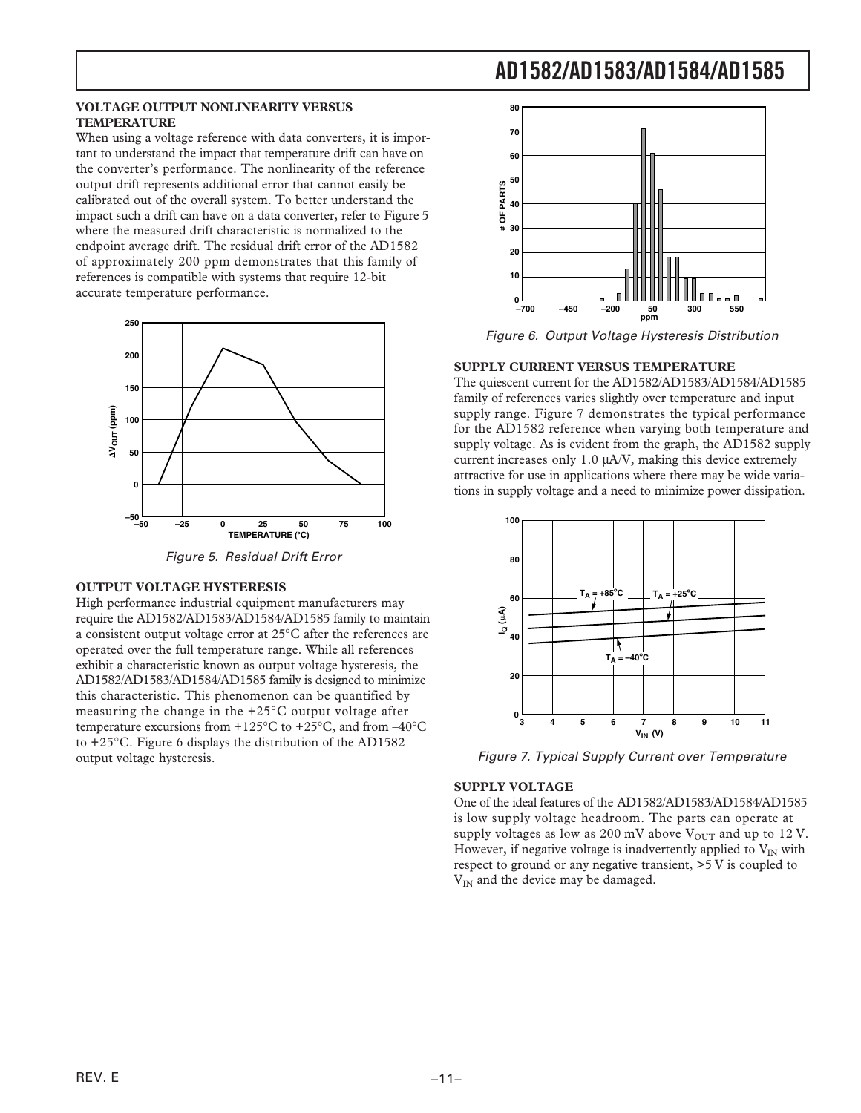#### **VOLTAGE OUTPUT NONLINEARITY VERSUS 80 TEMPERATURE**

When using a voltage reference with data converters, it is impor- **<sup>70</sup>** tant to understand the impact that temperature drift can have on **60** the converter's performance. The nonlinearity of the reference output drift represents additional error that cannot easily be calibrated out of the overall system. To better understand the impact such a drift can have on a data converter, refer to Figure 5 where the measured drift characteristic is normalized to the endpoint average drift. The residual drift error of the AD1582 of approximately 200 ppm demonstrates that this family of references is compatible with systems that require 12-bit **<sup>10</sup>** accurate temperature performance.  $\begin{bmatrix} 0 \\ 0 \end{bmatrix}$ 



Figure 5. Residual Drift Error

#### **OUTPUT VOLTAGE HYSTERESIS**

High performance industrial equipment manufacturers may require the AD1582/AD1583/AD1584/AD1585 family to maintain a consistent output voltage error at 25∞C after the references are operated over the full temperature range. While all references exhibit a characteristic known as output voltage hysteresis, the AD1582/AD1583/AD1584/AD1585 family is designed to minimize **<sup>20</sup>** this characteristic. This phenomenon can be quantified by measuring the change in the +25∞C output voltage after temperature excursions from +125 $\rm{^{\circ}C}$  to +25 $\rm{^{\circ}C}$ , and from -40 $\rm{^{\circ}C}$ to +25∞C. Figure 6 displays the distribution of the AD1582 output voltage hysteresis.



Figure 6. Output Voltage Hysteresis Distribution

#### **SUPPLY CURRENT VERSUS TEMPERATURE**

The quiescent current for the AD1582/AD1583/AD1584/AD1585 family of references varies slightly over temperature and input supply range. Figure 7 demonstrates the typical performance for the AD1582 reference when varying both temperature and supply voltage. As is evident from the graph, the AD1582 supply current increases only 1.0 mA/V, making this device extremely attractive for use in applications where there may be wide variations in supply voltage and a need to minimize power dissipation.



Figure 7. Typical Supply Current over Temperature

#### **SUPPLY VOLTAGE**

One of the ideal features of the AD1582/AD1583/AD1584/AD1585 is low supply voltage headroom. The parts can operate at supply voltages as low as 200 mV above  $V_{\text{OUT}}$  and up to 12 V. However, if negative voltage is inadvertently applied to  $V_{IN}$  with respect to ground or any negative transient, >5 V is coupled to  $V_{IN}$  and the device may be damaged.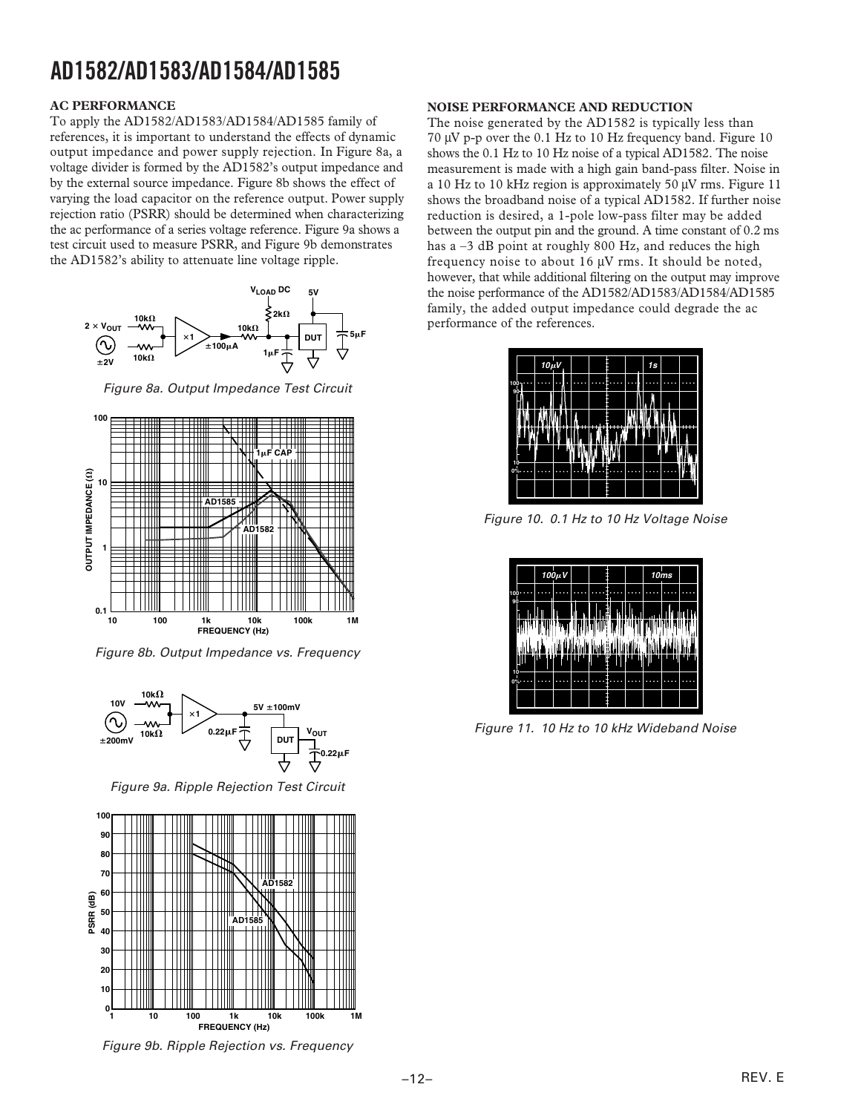#### **AC PERFORMANCE**

To apply the AD1582/AD1583/AD1584/AD1585 family of references, it is important to understand the effects of dynamic output impedance and power supply rejection. In Figure 8a, a voltage divider is formed by the AD1582's output impedance and by the external source impedance. Figure 8b shows the effect of varying the load capacitor on the reference output. Power supply rejection ratio (PSRR) should be determined when characterizing the ac performance of a series voltage reference. Figure 9a shows a test circuit used to measure PSRR, and Figure 9b demonstrates the AD1582's ability to attenuate line voltage ripple.



Figure 8a. Output Impedance Test Circuit



Figure 8b. Output Impedance vs. Frequency



Figure 9a. Ripple Rejection Test Circuit



Figure 9b. Ripple Rejection vs. Frequency

#### **NOISE PERFORMANCE AND REDUCTION**

The noise generated by the AD1582 is typically less than 70  $\mu$ V p-p over the 0.1 Hz to 10 Hz frequency band. Figure 10 shows the 0.1 Hz to 10 Hz noise of a typical AD1582. The noise measurement is made with a high gain band-pass filter. Noise in a 10 Hz to 10 kHz region is approximately 50  $\mu$ V rms. Figure 11 shows the broadband noise of a typical AD1582. If further noise reduction is desired, a 1-pole low-pass filter may be added between the output pin and the ground. A time constant of 0.2 ms has a –3 dB point at roughly 800 Hz, and reduces the high frequency noise to about 16  $\mu$ V rms. It should be noted, however, that while additional filtering on the output may improve the noise performance of the AD1582/AD1583/AD1584/AD1585 family, the added output impedance could degrade the ac performance of the references.

|  |            |   |  | 1s        |   |  |
|--|------------|---|--|-----------|---|--|
|  |            |   |  |           |   |  |
|  |            |   |  |           |   |  |
|  |            |   |  |           |   |  |
|  |            |   |  |           |   |  |
|  | L          |   |  |           |   |  |
|  | r          | г |  |           |   |  |
|  |            |   |  |           |   |  |
|  | $10 \mu V$ |   |  | 425<br>÷, | ÷ |  |

Figure 10. 0.1 Hz to 10 Hz Voltage Noise

|          |  | $100 \mu V$ |  |        | 10ms |  |
|----------|--|-------------|--|--------|------|--|
| 10<br>90 |  |             |  |        |      |  |
| ľ        |  |             |  |        |      |  |
| i        |  |             |  |        |      |  |
|          |  |             |  | lufi ! |      |  |
|          |  |             |  |        |      |  |
| 10<br>0% |  |             |  |        |      |  |
|          |  |             |  |        |      |  |

V<sub>OUT</sub> **VOUT COUPER 11. 10 Hz to 10 kHz Wideband Noise**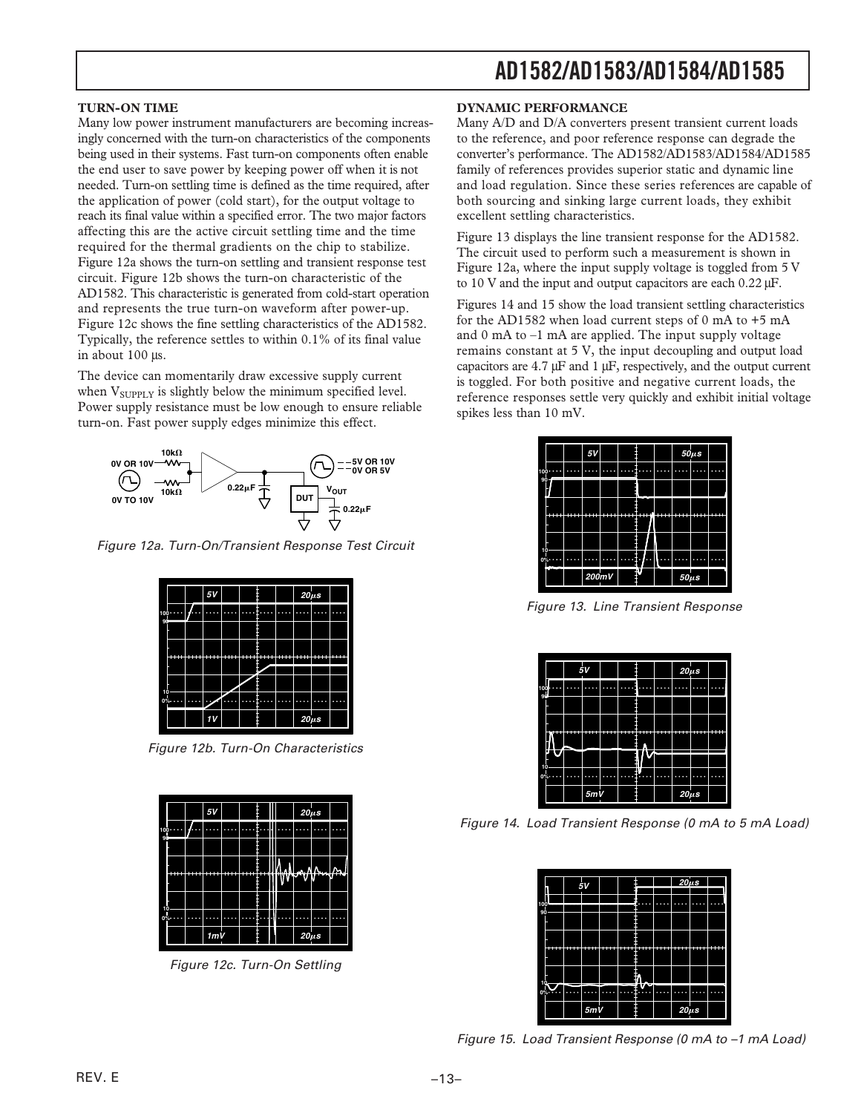#### **TURN-ON TIME**

Many low power instrument manufacturers are becoming increasingly concerned with the turn-on characteristics of the components being used in their systems. Fast turn-on components often enable the end user to save power by keeping power off when it is not needed. Turn-on settling time is defined as the time required, after the application of power (cold start), for the output voltage to reach its final value within a specified error. The two major factors affecting this are the active circuit settling time and the time required for the thermal gradients on the chip to stabilize. Figure 12a shows the turn-on settling and transient response test circuit. Figure 12b shows the turn-on characteristic of the AD1582. This characteristic is generated from cold-start operation and represents the true turn-on waveform after power-up. Figure 12c shows the fine settling characteristics of the AD1582. Typically, the reference settles to within 0.1% of its final value in about 100 µs.

The device can momentarily draw excessive supply current when  $V_{\text{SUPPLY}}$  is slightly below the minimum specified level. Power supply resistance must be low enough to ensure reliable turn-on. Fast power supply edges minimize this effect.



Figure 12a. Turn-On/Transient Response Test Circuit



Figure 12b. Turn-On Characteristics



Figure 12c. Turn-On Settling

#### **DYNAMIC PERFORMANCE**

Many A/D and D/A converters present transient current loads to the reference, and poor reference response can degrade the converter's performance. The AD1582/AD1583/AD1584/AD1585 family of references provides superior static and dynamic line and load regulation. Since these series references are capable of both sourcing and sinking large current loads, they exhibit excellent settling characteristics.

Figure 13 displays the line transient response for the AD1582. The circuit used to perform such a measurement is shown in Figure 12a, where the input supply voltage is toggled from 5 V to 10 V and the input and output capacitors are each  $0.22 \mu$ F.

Figures 14 and 15 show the load transient settling characteristics for the AD1582 when load current steps of 0 mA to +5 mA and 0 mA to –1 mA are applied. The input supply voltage remains constant at 5 V, the input decoupling and output load capacitors are  $4.7 \mu$ F and 1  $\mu$ F, respectively, and the output current is toggled. For both positive and negative current loads, the reference responses settle very quickly and exhibit initial voltage spikes less than 10 mV.

|          | 5V         |    |  |            | $50 \mu s$ |  |
|----------|------------|----|--|------------|------------|--|
| 100      |            |    |  |            |            |  |
| $90 -$   |            |    |  |            |            |  |
|          |            |    |  |            |            |  |
| ۰        | <br>v<br>۰ | -- |  |            | ≕          |  |
|          |            |    |  |            |            |  |
| 10<br>0% |            |    |  |            |            |  |
|          | 200mV      |    |  | $50 \mu s$ |            |  |

Figure 13. Line Transient Response

|           |   |       | 5V  |       |  | $20\mu s$  |   |  |
|-----------|---|-------|-----|-------|--|------------|---|--|
| 100<br>90 |   |       |     |       |  |            |   |  |
|           |   |       |     |       |  |            |   |  |
|           | ٠ | ٠<br> | ÷   | <br>٠ |  |            | ≕ |  |
| 10        |   |       |     |       |  |            |   |  |
| 0%        |   |       | 5mV |       |  | $20 \mu s$ |   |  |

Figure 14. Load Transient Response (0 mA to 5 mA Load)

|                                          |   |     |  |    | $20\mu s$  |  |
|------------------------------------------|---|-----|--|----|------------|--|
|                                          | 5 |     |  |    |            |  |
| $\begin{array}{c} 100 \\ 90 \end{array}$ |   |     |  |    |            |  |
|                                          |   |     |  |    |            |  |
|                                          |   |     |  |    |            |  |
|                                          |   |     |  |    |            |  |
|                                          |   |     |  |    |            |  |
| O°                                       |   |     |  | ÷. |            |  |
|                                          |   | 5mV |  |    | $20 \mu s$ |  |

Figure 15. Load Transient Response (0 mA to –1 mA Load)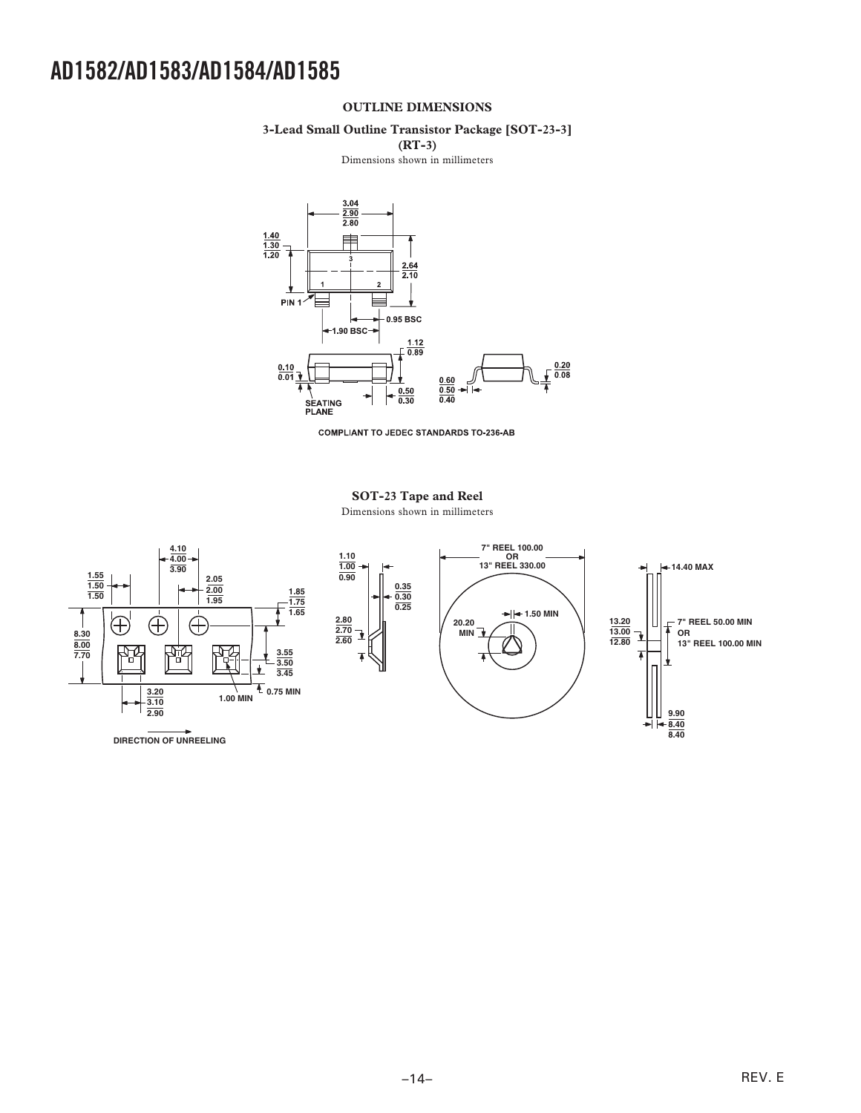#### **OUTLINE DIMENSIONS**

#### **3-Lead Small Outline Transistor Package [SOT-23-3]**

**(RT-3)** 

Dimensions shown in millimeters



**COMPLIANT TO JEDEC STANDARDS TO-236-AB** 

### **SOT-23 Tape and Reel**

Dimensions shown in millimeters

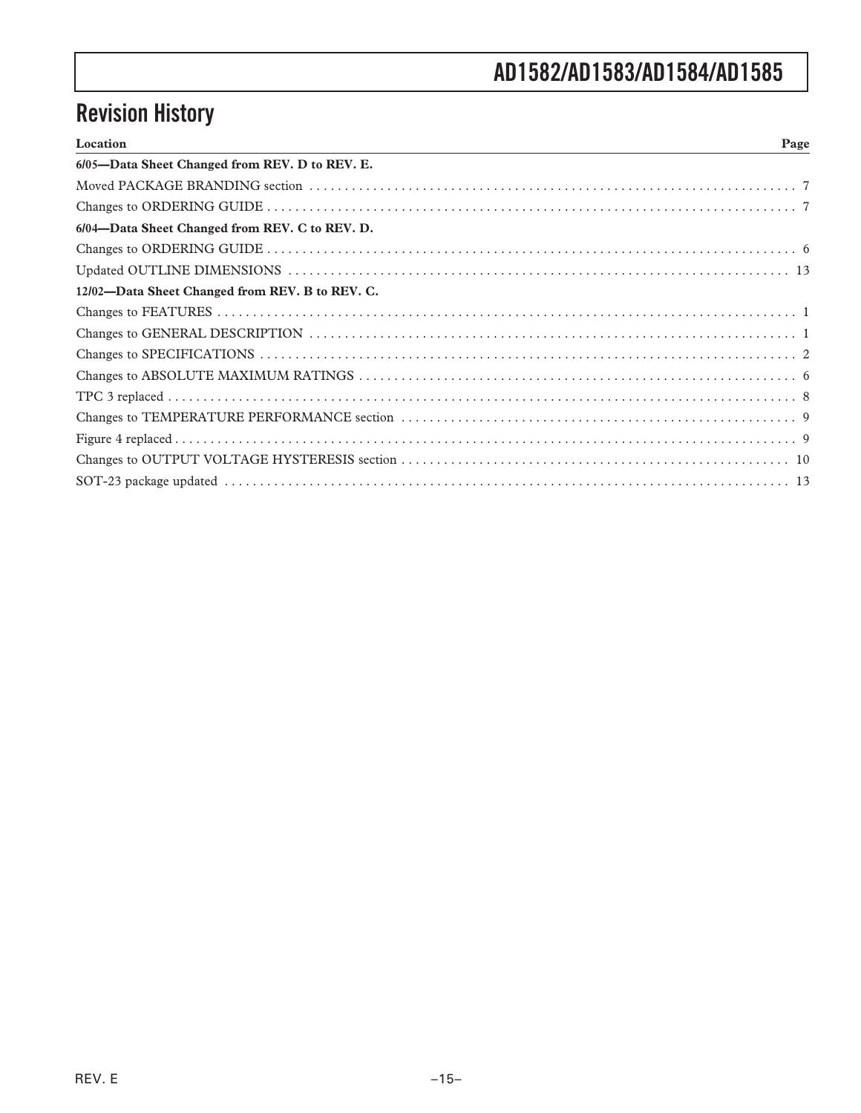# **Revision History**

| Location<br>Page                                |
|-------------------------------------------------|
| 6/05-Data Sheet Changed from REV. D to REV. E.  |
|                                                 |
|                                                 |
| 6/04-Data Sheet Changed from REV. C to REV. D.  |
|                                                 |
|                                                 |
| 12/02-Data Sheet Changed from REV. B to REV. C. |
|                                                 |
|                                                 |
|                                                 |
|                                                 |
|                                                 |
|                                                 |
|                                                 |
|                                                 |
|                                                 |